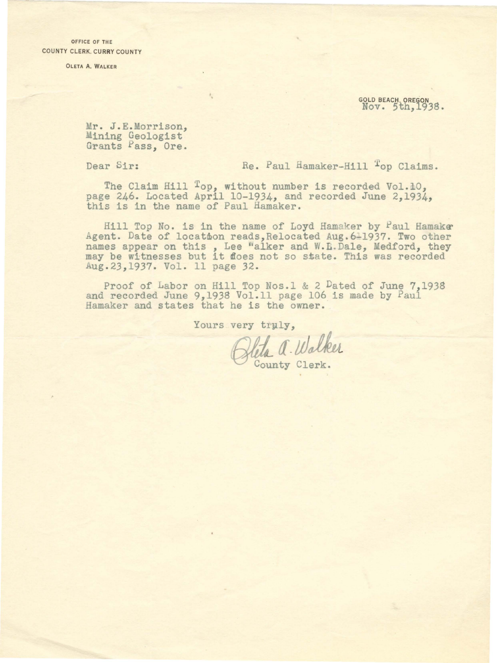OFFICE OF THE COUNTY CLERK. CURRY COUNTY

OLETA A. WALKER

• . GOLD BEACHt OREGON Nov. *5* h,.1938.

Mr. J.E.Morrison, Mining Geologist Grants Pass, Ore.

Dear Sir:

Re. Paul Hamaker-Hill <sup>T</sup>op Claims.

The Claim Hill Top, without number is recorded Vol.10, page 246. Located April 10-1934, and recorded June 2,1934, this is in the name of Paul Hamaker.

Hill Top No. is in the name of Loyd Hamaker by Paul Hamaker Agent. Date of location reads, Relocated Aug. 611937. Two other names appear on this, Lee Walker and W.E. Dale, Medford, they may be witnesses but it floes not so state. This was recorded Aug.23,1937. Vol. 11 page 32.

Proof of Labor on Hill Top Nos.1 & 2 Dated of June 7,1938 and recorded June 9,1938 Vol.11 page 106 is made by Paul Hamaker and states that he is the owner.

Yours very truly,

Heta a. Walker